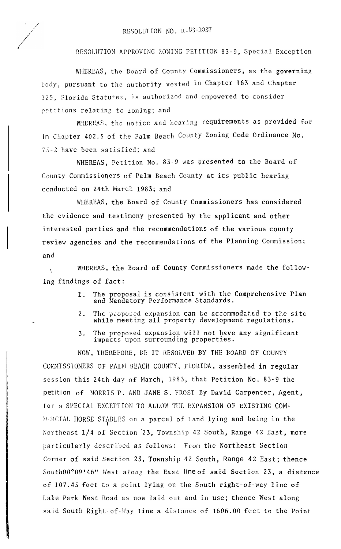RESOLUTION APPROVING ZONING PETITION 83-9, Special Exception

WHEREAS, the Board of County Commissioners, as the governing **body,** pursuant to the authority vested in Chapter 163 and Chapter 125, Florida Statutes, is authorized and empowered to consider petitions relating to zoning; and

WHEREAS, the notice and hearing requirements as provided for in Chapter 402.5 of the Palm Beach County Zoning Code Ordinance No. 73-2 have been satisfied; and

WHEREAS, Petition No. 83-9 was presented to the Board of County Commissioners of Palm Beach County at its public hearing conducted on 24th March 1983; and

WHEREAS, the Board of County Commissioners has considered the evidence and testimony presented by the applicant and other interested parties and the recommendations of the various county review agencies and the recommendations of the Planning Commission; and

 $\mathcal{N}_{\mathcal{A}}$ WHEREAS, the Board of County Commissioners made the following findings of fact:

- 1. The proposal is consistent with the Comprehensive Plan and Mandatory Performance Standards.
- 2. The proposed expansion can be accommodated to the site while meeting all property development regulations.
- 3. The proposed expansion will not have any significant impacts upon surrounding properties.

NOW, THEREFORE, BE IT RESOLVED BY THE BOARD OF COUNTY COMMISSIONERS OF PALM BEACH COUNTY, FLORIDA, assembled in regular session this 24th day of March, 1983, that Petition No. 83-9 the petition of MORRIS P. AND JANE S. FROST By David Carpenter, Agent, for a SPECIAL EXCEPTION TO ALLOW TIlE EXPANSION OF EXISTING COM- MERCIAL HORSE STABLES on a parcel of land lying and being in the I Northeast 1/4 of Section 23, Township 42 South, Range 42 East, more particularly described as follows: From the Northeast Section Corner of said Section 23, Township 42 South, Range 42 East; thence SouthOO"09'46" West along the East line of said Section 23, a distance of 107.45 feet to a point lying on the South right-of-way line of Lake Park West Road as now laid out and in use; thence West along said South Right-of-Way line a distance of 1606.00 feet to the Point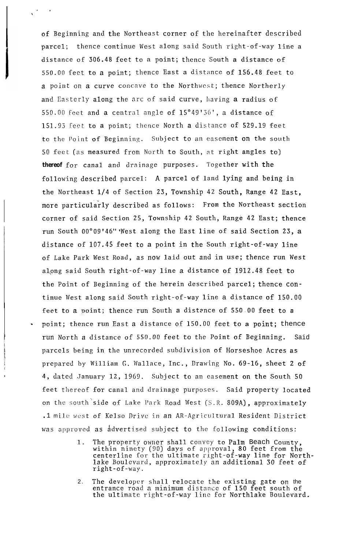of Beginning and the Northeast corner of the hereinafter described parcel; thence continue West along said South right-of-way line a distance of 306.48 feet to a point; thence South a distance of 550.00 feet to a point; thence East a distance of 156.48 feet to a point on a curve concave to the Northwest; thence Northerly and Easterly along the arc of said curve, having a radius of 550.00 feet and a central angle of 15°49'36', a distance of 151.93 feet to a point; thence North a distance of 529.19 feet to the Point of Beginning. Subject to an easement on the south 50 feet (as measured from North to South, at right angles to) *thereof* for canal and drainage purposes. Together with the following described parcel: A parcel of land lying and being in the Northeast l/4 of Section 23, Township 42 South, Range 42 East, more particularly described as follows: From the Northeast section corner of said Section 25, Township 42 South, Range 42 East; thence run South 00°09'46" West along the East line of said Section 23, a distance of 107.45 feet to a point in the South right-of-way line of Lake Park West Road, as now laid out and in use; thence run West al,ong said South right-of-way line a distance of 1912.48 feet to the Point of Beginning of the herein described parcel; thence continue West along said South right-of-way line a distance of 150.00 feet to a point; thence run South a distance of 550.00 feet to a point; thence run East a distance of 150.00 feet to a point; thence run North a distance of 550.00 feet to the Point of Beginning. Said parcels being in the unrecorded subdivision of Horseshoe Acres as prepared by William G. Wallace, Inc., Drawing No. 69-16, sheet <sup>2</sup> of 4, dated January 12, 1969. Subject to an easement on the South 50 feet thereof for canal and drainage purposes. Said property located on the south'side of Lake Park Road West (S.R. 809A), approximately .1 mile west of Kelso Drive in an AR-Agricultural Resident District was approved as advertised subject to the following conditions:

 $\bullet$  . Let

,

- 1. The property owner shall convey to Palm Beach County, within ninety (90) days of approval, 80 feet from the centerline for the ultimate right-of-way line for Northlake Boulevard, approximately an additional 30 feet of right-of-way.
- 2. The developer shall relocate the existing gate on the entrance road a minimum distance of 150 feet south of the ultimate right-of-way line for Northlake Boulevard.